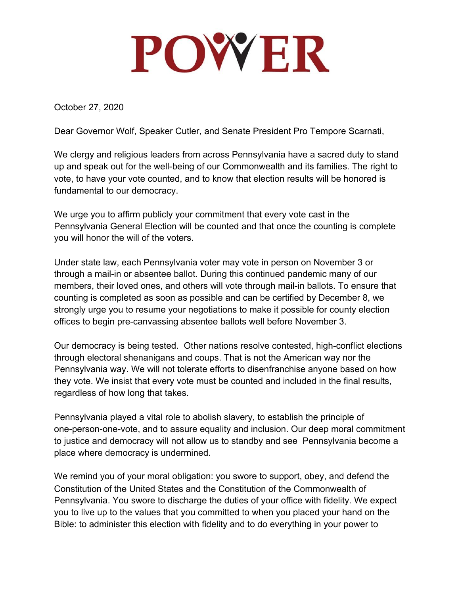## POWER

October 27, 2020

Dear Governor Wolf, Speaker Cutler, and Senate President Pro Tempore Scarnati,

We clergy and religious leaders from across Pennsylvania have a sacred duty to stand up and speak out for the well-being of our Commonwealth and its families. The right to vote, to have your vote counted, and to know that election results will be honored is fundamental to our democracy.

We urge you to affirm publicly your commitment that every vote cast in the Pennsylvania General Election will be counted and that once the counting is complete you will honor the will of the voters.

Under state law, each Pennsylvania voter may vote in person on November 3 or through a mail-in or absentee ballot. During this continued pandemic many of our members, their loved ones, and others will vote through mail-in ballots. To ensure that counting is completed as soon as possible and can be certified by December 8, we strongly urge you to resume your negotiations to make it possible for county election offices to begin pre-canvassing absentee ballots well before November 3.

Our democracy is being tested. Other nations resolve contested, high-conflict elections through electoral shenanigans and coups. That is not the American way nor the Pennsylvania way. We will not tolerate efforts to disenfranchise anyone based on how they vote. We insist that every vote must be counted and included in the final results, regardless of how long that takes.

Pennsylvania played a vital role to abolish slavery, to establish the principle of one-person-one-vote, and to assure equality and inclusion. Our deep moral commitment to justice and democracy will not allow us to standby and see Pennsylvania become a place where democracy is undermined.

We remind you of your moral obligation: you swore to support, obey, and defend the Constitution of the United States and the Constitution of the Commonwealth of Pennsylvania. You swore to discharge the duties of your office with fidelity. We expect you to live up to the values that you committed to when you placed your hand on the Bible: to administer this election with fidelity and to do everything in your power to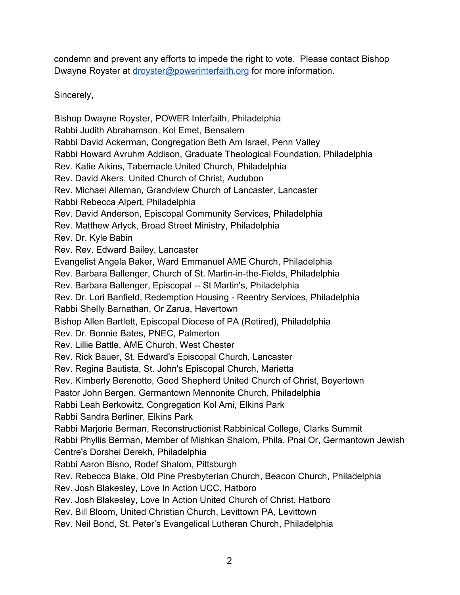condemn and prevent any efforts to impede the right to vote. Please contact Bishop Dwayne Royster at [droyster@powerinterfaith.org](mailto:droyster@powerinterfaith.org) for more information.

Sincerely,

Bishop Dwayne Royster, POWER Interfaith, Philadelphia Rabbi Judith Abrahamson, Kol Emet, Bensalem Rabbi David Ackerman, Congregation Beth Am Israel, Penn Valley Rabbi Howard Avruhm Addison, Graduate Theological Foundation, Philadelphia Rev. Katie Aikins, Tabernacle United Church, Philadelphia Rev. David Akers, United Church of Christ, Audubon Rev. Michael Alleman, Grandview Church of Lancaster, Lancaster Rabbi Rebecca Alpert, Philadelphia Rev. David Anderson, Episcopal Community Services, Philadelphia Rev. Matthew Arlyck, Broad Street Ministry, Philadelphia Rev. Dr. Kyle Babin Rev. Rev. Edward Bailey, Lancaster Evangelist Angela Baker, Ward Emmanuel AME Church, Philadelphia Rev. Barbara Ballenger, Church of St. Martin-in-the-Fields, Philadelphia Rev. Barbara Ballenger, Episcopal -- St Martin's, Philadelphia Rev. Dr. Lori Banfield, Redemption Housing - Reentry Services, Philadelphia Rabbi Shelly Barnathan, Or Zarua, Havertown Bishop Allen Bartlett, Episcopal Diocese of PA (Retired), Philadelphia Rev. Dr. Bonnie Bates, PNEC, Palmerton Rev. Lillie Battle, AME Church, West Chester Rev. Rick Bauer, St. Edward's Episcopal Church, Lancaster Rev. Regina Bautista, St. John's Episcopal Church, Marietta Rev. Kimberly Berenotto, Good Shepherd United Church of Christ, Boyertown Pastor John Bergen, Germantown Mennonite Church, Philadelphia Rabbi Leah Berkowitz, Congregation Kol Ami, Elkins Park Rabbi Sandra Berliner, Elkins Park Rabbi Marjorie Berman, Reconstructionist Rabbinical College, Clarks Summit Rabbi Phyllis Berman, Member of Mishkan Shalom, Phila. Pnai Or, Germantown Jewish Centre's Dorshei Derekh, Philadelphia Rabbi Aaron Bisno, Rodef Shalom, Pittsburgh Rev. Rebecca Blake, Old Pine Presbyterian Church, Beacon Church, Philadelphia Rev. Josh Blakesley, Love In Action UCC, Hatboro Rev. Josh Blakesley, Love In Action United Church of Christ, Hatboro Rev. Bill Bloom, United Christian Church, Levittown PA, Levittown Rev. Neil Bond, St. Peter's Evangelical Lutheran Church, Philadelphia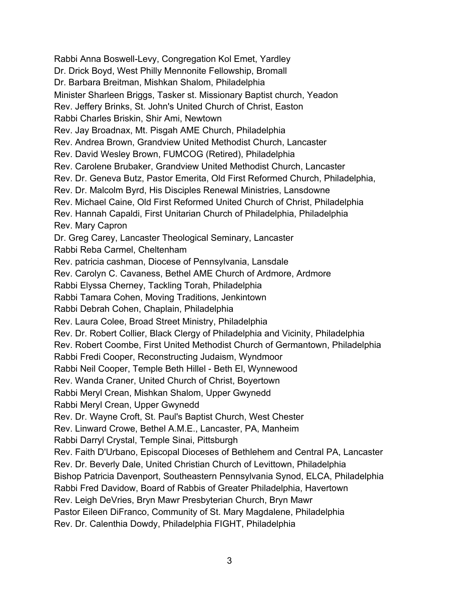Rabbi Anna Boswell-Levy, Congregation Kol Emet, Yardley Dr. Drick Boyd, West Philly Mennonite Fellowship, Bromall Dr. Barbara Breitman, Mishkan Shalom, Philadelphia Minister Sharleen Briggs, Tasker st. Missionary Baptist church, Yeadon Rev. Jeffery Brinks, St. John's United Church of Christ, Easton Rabbi Charles Briskin, Shir Ami, Newtown Rev. Jay Broadnax, Mt. Pisgah AME Church, Philadelphia Rev. Andrea Brown, Grandview United Methodist Church, Lancaster Rev. David Wesley Brown, FUMCOG (Retired), Philadelphia Rev. Carolene Brubaker, Grandview United Methodist Church, Lancaster Rev. Dr. Geneva Butz, Pastor Emerita, Old First Reformed Church, Philadelphia, Rev. Dr. Malcolm Byrd, His Disciples Renewal Ministries, Lansdowne Rev. Michael Caine, Old First Reformed United Church of Christ, Philadelphia Rev. Hannah Capaldi, First Unitarian Church of Philadelphia, Philadelphia Rev. Mary Capron Dr. Greg Carey, Lancaster Theological Seminary, Lancaster Rabbi Reba Carmel, Cheltenham Rev. patricia cashman, Diocese of Pennsylvania, Lansdale Rev. Carolyn C. Cavaness, Bethel AME Church of Ardmore, Ardmore Rabbi Elyssa Cherney, Tackling Torah, Philadelphia Rabbi Tamara Cohen, Moving Traditions, Jenkintown Rabbi Debrah Cohen, Chaplain, Philadelphia Rev. Laura Colee, Broad Street Ministry, Philadelphia Rev. Dr. Robert Collier, Black Clergy of Philadelphia and Vicinity, Philadelphia Rev. Robert Coombe, First United Methodist Church of Germantown, Philadelphia Rabbi Fredi Cooper, Reconstructing Judaism, Wyndmoor Rabbi Neil Cooper, Temple Beth Hillel - Beth El, Wynnewood Rev. Wanda Craner, United Church of Christ, Boyertown Rabbi Meryl Crean, Mishkan Shalom, Upper Gwynedd Rabbi Meryl Crean, Upper Gwynedd Rev. Dr. Wayne Croft, St. Paul's Baptist Church, West Chester Rev. Linward Crowe, Bethel A.M.E., Lancaster, PA, Manheim Rabbi Darryl Crystal, Temple Sinai, Pittsburgh Rev. Faith D'Urbano, Episcopal Dioceses of Bethlehem and Central PA, Lancaster Rev. Dr. Beverly Dale, United Christian Church of Levittown, Philadelphia Bishop Patricia Davenport, Southeastern Pennsylvania Synod, ELCA, Philadelphia Rabbi Fred Davidow, Board of Rabbis of Greater Philadelphia, Havertown Rev. Leigh DeVries, Bryn Mawr Presbyterian Church, Bryn Mawr Pastor Eileen DiFranco, Community of St. Mary Magdalene, Philadelphia Rev. Dr. Calenthia Dowdy, Philadelphia FIGHT, Philadelphia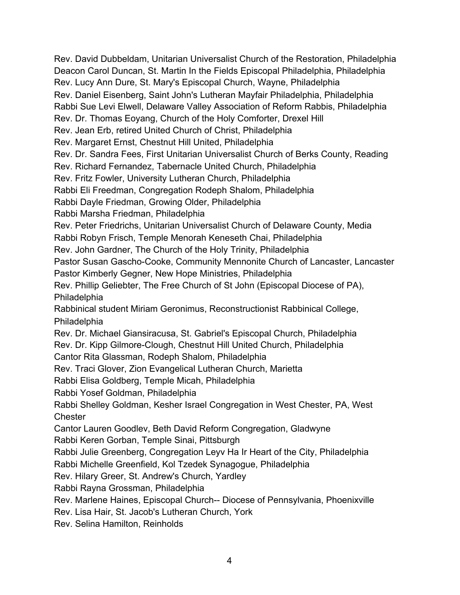Rev. David Dubbeldam, Unitarian Universalist Church of the Restoration, Philadelphia Deacon Carol Duncan, St. Martin In the Fields Episcopal Philadelphia, Philadelphia Rev. Lucy Ann Dure, St. Mary's Episcopal Church, Wayne, Philadelphia Rev. Daniel Eisenberg, Saint John's Lutheran Mayfair Philadelphia, Philadelphia Rabbi Sue Levi Elwell, Delaware Valley Association of Reform Rabbis, Philadelphia Rev. Dr. Thomas Eoyang, Church of the Holy Comforter, Drexel Hill Rev. Jean Erb, retired United Church of Christ, Philadelphia Rev. Margaret Ernst, Chestnut Hill United, Philadelphia Rev. Dr. Sandra Fees, First Unitarian Universalist Church of Berks County, Reading Rev. Richard Fernandez, Tabernacle United Church, Philadelphia Rev. Fritz Fowler, University Lutheran Church, Philadelphia Rabbi Eli Freedman, Congregation Rodeph Shalom, Philadelphia Rabbi Dayle Friedman, Growing Older, Philadelphia Rabbi Marsha Friedman, Philadelphia Rev. Peter Friedrichs, Unitarian Universalist Church of Delaware County, Media Rabbi Robyn Frisch, Temple Menorah Keneseth Chai, Philadelphia Rev. John Gardner, The Church of the Holy Trinity, Philadelphia Pastor Susan Gascho-Cooke, Community Mennonite Church of Lancaster, Lancaster Pastor Kimberly Gegner, New Hope Ministries, Philadelphia Rev. Phillip Geliebter, The Free Church of St John (Episcopal Diocese of PA), Philadelphia Rabbinical student Miriam Geronimus, Reconstructionist Rabbinical College, **Philadelphia** Rev. Dr. Michael Giansiracusa, St. Gabriel's Episcopal Church, Philadelphia Rev. Dr. Kipp Gilmore-Clough, Chestnut Hill United Church, Philadelphia Cantor Rita Glassman, Rodeph Shalom, Philadelphia Rev. Traci Glover, Zion Evangelical Lutheran Church, Marietta Rabbi Elisa Goldberg, Temple Micah, Philadelphia Rabbi Yosef Goldman, Philadelphia Rabbi Shelley Goldman, Kesher Israel Congregation in West Chester, PA, West **Chester** Cantor Lauren Goodlev, Beth David Reform Congregation, Gladwyne Rabbi Keren Gorban, Temple Sinai, Pittsburgh Rabbi Julie Greenberg, Congregation Leyv Ha Ir Heart of the City, Philadelphia Rabbi Michelle Greenfield, Kol Tzedek Synagogue, Philadelphia Rev. Hilary Greer, St. Andrew's Church, Yardley Rabbi Rayna Grossman, Philadelphia Rev. Marlene Haines, Episcopal Church-- Diocese of Pennsylvania, Phoenixville Rev. Lisa Hair, St. Jacob's Lutheran Church, York Rev. Selina Hamilton, Reinholds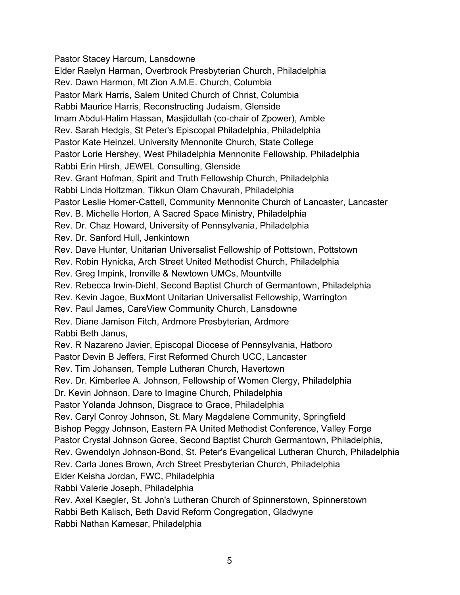Pastor Stacey Harcum, Lansdowne Elder Raelyn Harman, Overbrook Presbyterian Church, Philadelphia Rev. Dawn Harmon, Mt Zion A.M.E. Church, Columbia Pastor Mark Harris, Salem United Church of Christ, Columbia Rabbi Maurice Harris, Reconstructing Judaism, Glenside Imam Abdul-Halim Hassan, Masjidullah (co-chair of Zpower), Amble Rev. Sarah Hedgis, St Peter's Episcopal Philadelphia, Philadelphia Pastor Kate Heinzel, University Mennonite Church, State College Pastor Lorie Hershey, West Philadelphia Mennonite Fellowship, Philadelphia Rabbi Erin Hirsh, JEWEL Consulting, Glenside Rev. Grant Hofman, Spirit and Truth Fellowship Church, Philadelphia Rabbi Linda Holtzman, Tikkun Olam Chavurah, Philadelphia Pastor Leslie Homer-Cattell, Community Mennonite Church of Lancaster, Lancaster Rev. B. Michelle Horton, A Sacred Space Ministry, Philadelphia Rev. Dr. Chaz Howard, University of Pennsylvania, Philadelphia Rev. Dr. Sanford Hull, Jenkintown Rev. Dave Hunter, Unitarian Universalist Fellowship of Pottstown, Pottstown Rev. Robin Hynicka, Arch Street United Methodist Church, Philadelphia Rev. Greg Impink, Ironville & Newtown UMCs, Mountville Rev. Rebecca Irwin-Diehl, Second Baptist Church of Germantown, Philadelphia Rev. Kevin Jagoe, BuxMont Unitarian Universalist Fellowship, Warrington Rev. Paul James, CareView Community Church, Lansdowne Rev. Diane Jamison Fitch, Ardmore Presbyterian, Ardmore Rabbi Beth Janus, Rev. R Nazareno Javier, Episcopal Diocese of Pennsylvania, Hatboro Pastor Devin B Jeffers, First Reformed Church UCC, Lancaster Rev. Tim Johansen, Temple Lutheran Church, Havertown Rev. Dr. Kimberlee A. Johnson, Fellowship of Women Clergy, Philadelphia Dr. Kevin Johnson, Dare to Imagine Church, Philadelphia Pastor Yolanda Johnson, Disgrace to Grace, Philadelphia Rev. Caryl Conroy Johnson, St. Mary Magdalene Community, Springfield Bishop Peggy Johnson, Eastern PA United Methodist Conference, Valley Forge Pastor Crystal Johnson Goree, Second Baptist Church Germantown, Philadelphia, Rev. Gwendolyn Johnson-Bond, St. Peter's Evangelical Lutheran Church, Philadelphia Rev. Carla Jones Brown, Arch Street Presbyterian Church, Philadelphia Elder Keisha Jordan, FWC, Philadelphia Rabbi Valerie Joseph, Philadelphia Rev. Axel Kaegler, St. John's Lutheran Church of Spinnerstown, Spinnerstown Rabbi Beth Kalisch, Beth David Reform Congregation, Gladwyne Rabbi Nathan Kamesar, Philadelphia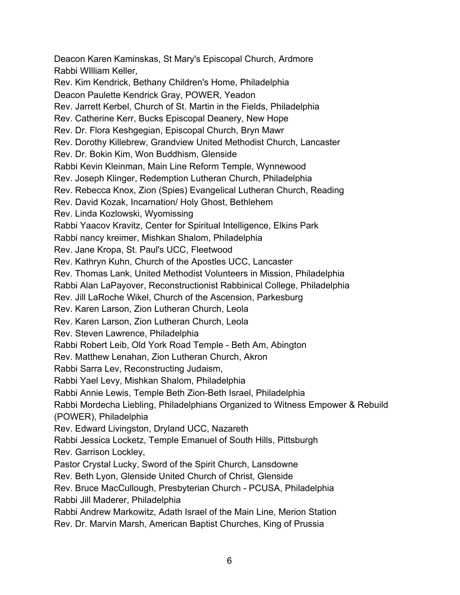Deacon Karen Kaminskas, St Mary's Episcopal Church, Ardmore Rabbi WIlliam Keller, Rev. Kim Kendrick, Bethany Children's Home, Philadelphia Deacon Paulette Kendrick Gray, POWER, Yeadon Rev. Jarrett Kerbel, Church of St. Martin in the Fields, Philadelphia Rev. Catherine Kerr, Bucks Episcopal Deanery, New Hope Rev. Dr. Flora Keshgegian, Episcopal Church, Bryn Mawr Rev. Dorothy Killebrew, Grandview United Methodist Church, Lancaster Rev. Dr. Bokin Kim, Won Buddhism, Glenside Rabbi Kevin Kleinman, Main Line Reform Temple, Wynnewood Rev. Joseph Klinger, Redemption Lutheran Church, Philadelphia Rev. Rebecca Knox, Zion (Spies) Evangelical Lutheran Church, Reading Rev. David Kozak, Incarnation/ Holy Ghost, Bethlehem Rev. Linda Kozlowski, Wyomissing Rabbi Yaacov Kravitz, Center for Spiritual Intelligence, Elkins Park Rabbi nancy kreimer, Mishkan Shalom, Philadelphia Rev. Jane Kropa, St. Paul's UCC, Fleetwood Rev. Kathryn Kuhn, Church of the Apostles UCC, Lancaster Rev. Thomas Lank, United Methodist Volunteers in Mission, Philadelphia Rabbi Alan LaPayover, Reconstructionist Rabbinical College, Philadelphia Rev. Jill LaRoche Wikel, Church of the Ascension, Parkesburg Rev. Karen Larson, Zion Lutheran Church, Leola Rev. Karen Larson, Zion Lutheran Church, Leola Rev. Steven Lawrence, Philadelphia Rabbi Robert Leib, Old York Road Temple - Beth Am, Abington Rev. Matthew Lenahan, Zion Lutheran Church, Akron Rabbi Sarra Lev, Reconstructing Judaism, Rabbi Yael Levy, Mishkan Shalom, Philadelphia Rabbi Annie Lewis, Temple Beth Zion-Beth Israel, Philadelphia Rabbi Mordecha Liebling, Philadelphians Organized to Witness Empower & Rebuild (POWER), Philadelphia Rev. Edward Livingston, Dryland UCC, Nazareth Rabbi Jessica Locketz, Temple Emanuel of South Hills, Pittsburgh Rev. Garrison Lockley, Pastor Crystal Lucky, Sword of the Spirit Church, Lansdowne Rev. Beth Lyon, Glenside United Church of Christ, Glenside Rev. Bruce MacCullough, Presbyterian Church - PCUSA, Philadelphia Rabbi Jill Maderer, Philadelphia Rabbi Andrew Markowitz, Adath Israel of the Main Line, Merion Station Rev. Dr. Marvin Marsh, American Baptist Churches, King of Prussia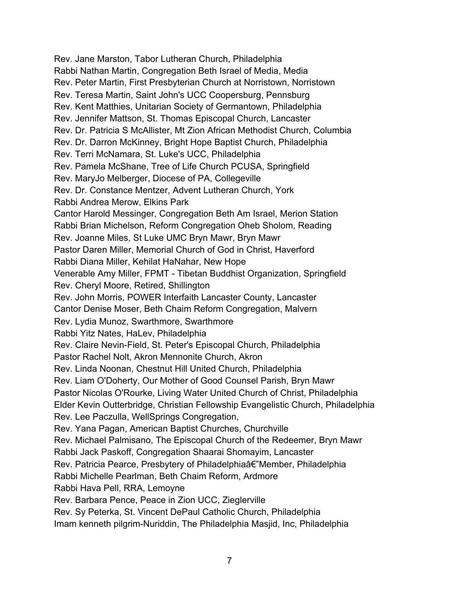Rev. Jane Marston, Tabor Lutheran Church, Philadelphia Rabbi Nathan Martin, Congregation Beth Israel of Media, Media Rev. Peter Martin, First Presbyterian Church at Norristown, Norristown Rev. Teresa Martin, Saint John's UCC Coopersburg, Pennsburg Rev. Kent Matthies, Unitarian Society of Germantown, Philadelphia Rev. Jennifer Mattson, St. Thomas Episcopal Church, Lancaster Rev. Dr. Patricia S McAllister, Mt Zion African Methodist Church, Columbia Rev. Dr. Darron McKinney, Bright Hope Baptist Church, Philadelphia Rev. Terri McNamara, St. Luke's UCC, Philadelphia Rev. Pamela McShane, Tree of Life Church PCUSA, Springfield Rev. MaryJo Melberger, Diocese of PA, Collegeville Rev. Dr. Constance Mentzer, Advent Lutheran Church, York Rabbi Andrea Merow, Elkins Park Cantor Harold Messinger, Congregation Beth Am Israel, Merion Station Rabbi Brian Michelson, Reform Congregation Oheb Sholom, Reading Rev. Joanne Miles, St Luke UMC Bryn Mawr, Bryn Mawr Pastor Daren Miller, Memorial Church of God in Christ, Haverford Rabbi Diana Miller, Kehilat HaNahar, New Hope Venerable Amy Miller, FPMT - Tibetan Buddhist Organization, Springfield Rev. Cheryl Moore, Retired, Shillington Rev. John Morris, POWER Interfaith Lancaster County, Lancaster Cantor Denise Moser, Beth Chaim Reform Congregation, Malvern Rev. Lydia Munoz, Swarthmore, Swarthmore Rabbi Yitz Nates, HaLev, Philadelphia Rev. Claire Nevin-Field, St. Peter's Episcopal Church, Philadelphia Pastor Rachel Nolt, Akron Mennonite Church, Akron Rev. Linda Noonan, Chestnut Hill United Church, Philadelphia Rev. Liam O'Doherty, Our Mother of Good Counsel Parish, Bryn Mawr Pastor Nicolas O'Rourke, Living Water United Church of Christ, Philadelphia Elder Kevin Outterbridge, Christian Fellowship Evangelistic Church, Philadelphia Rev. Lee Paczulla, WellSprings Congregation, Rev. Yana Pagan, American Baptist Churches, Churchville Rev. Michael Palmisano, The Episcopal Church of the Redeemer, Bryn Mawr Rabbi Jack Paskoff, Congregation Shaarai Shomayim, Lancaster Rev. Patricia Pearce, Presbytery of Philadelphiaâ€"Member, Philadelphia Rabbi Michelle Pearlman, Beth Chaim Reform, Ardmore Rabbi Hava Pell, RRA, Lemoyne Rev. Barbara Pence, Peace in Zion UCC, Zieglerville Rev. Sy Peterka, St. Vincent DePaul Catholic Church, Philadelphia Imam kenneth pilgrim-Nuriddin, The Philadelphia Masjid, Inc, Philadelphia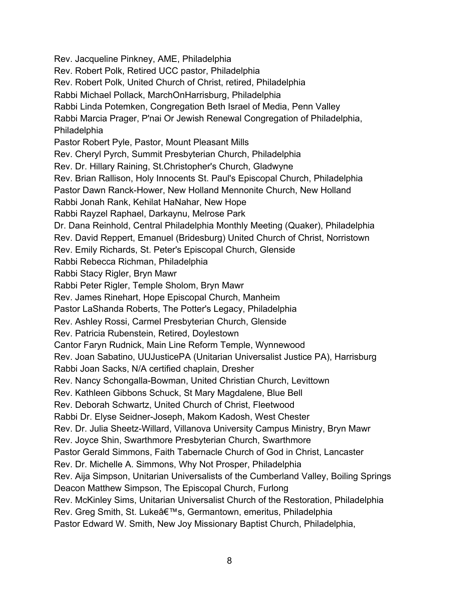Rev. Jacqueline Pinkney, AME, Philadelphia Rev. Robert Polk, Retired UCC pastor, Philadelphia Rev. Robert Polk, United Church of Christ, retired, Philadelphia Rabbi Michael Pollack, MarchOnHarrisburg, Philadelphia Rabbi Linda Potemken, Congregation Beth Israel of Media, Penn Valley Rabbi Marcia Prager, P'nai Or Jewish Renewal Congregation of Philadelphia, Philadelphia Pastor Robert Pyle, Pastor, Mount Pleasant Mills Rev. Cheryl Pyrch, Summit Presbyterian Church, Philadelphia Rev. Dr. Hillary Raining, St.Christopher's Church, Gladwyne Rev. Brian Rallison, Holy Innocents St. Paul's Episcopal Church, Philadelphia Pastor Dawn Ranck-Hower, New Holland Mennonite Church, New Holland Rabbi Jonah Rank, Kehilat HaNahar, New Hope Rabbi Rayzel Raphael, Darkaynu, Melrose Park Dr. Dana Reinhold, Central Philadelphia Monthly Meeting (Quaker), Philadelphia Rev. David Reppert, Emanuel (Bridesburg) United Church of Christ, Norristown Rev. Emily Richards, St. Peter's Episcopal Church, Glenside Rabbi Rebecca Richman, Philadelphia Rabbi Stacy Rigler, Bryn Mawr Rabbi Peter Rigler, Temple Sholom, Bryn Mawr Rev. James Rinehart, Hope Episcopal Church, Manheim Pastor LaShanda Roberts, The Potter's Legacy, Philadelphia Rev. Ashley Rossi, Carmel Presbyterian Church, Glenside Rev. Patricia Rubenstein, Retired, Doylestown Cantor Faryn Rudnick, Main Line Reform Temple, Wynnewood Rev. Joan Sabatino, UUJusticePA (Unitarian Universalist Justice PA), Harrisburg Rabbi Joan Sacks, N/A certified chaplain, Dresher Rev. Nancy Schongalla-Bowman, United Christian Church, Levittown Rev. Kathleen Gibbons Schuck, St Mary Magdalene, Blue Bell Rev. Deborah Schwartz, United Church of Christ, Fleetwood Rabbi Dr. Elyse Seidner-Joseph, Makom Kadosh, West Chester Rev. Dr. Julia Sheetz-Willard, Villanova University Campus Ministry, Bryn Mawr Rev. Joyce Shin, Swarthmore Presbyterian Church, Swarthmore Pastor Gerald Simmons, Faith Tabernacle Church of God in Christ, Lancaster Rev. Dr. Michelle A. Simmons, Why Not Prosper, Philadelphia Rev. Aija Simpson, Unitarian Universalists of the Cumberland Valley, Boiling Springs Deacon Matthew Simpson, The Episcopal Church, Furlong Rev. McKinley Sims, Unitarian Universalist Church of the Restoration, Philadelphia Rev. Greg Smith, St. Luke's, Germantown, emeritus, Philadelphia Pastor Edward W. Smith, New Joy Missionary Baptist Church, Philadelphia,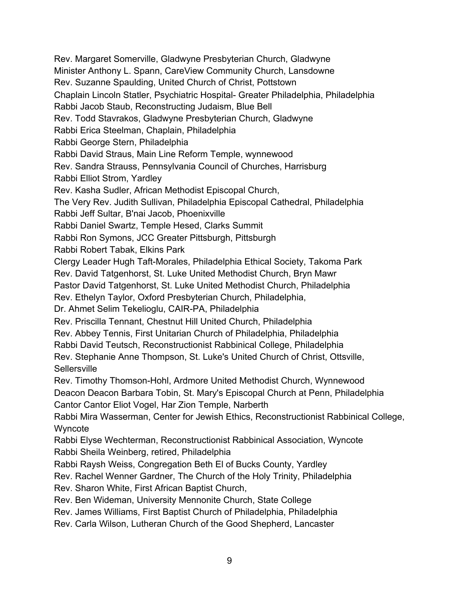Rev. Margaret Somerville, Gladwyne Presbyterian Church, Gladwyne Minister Anthony L. Spann, CareView Community Church, Lansdowne Rev. Suzanne Spaulding, United Church of Christ, Pottstown Chaplain Lincoln Statler, Psychiatric Hospital- Greater Philadelphia, Philadelphia Rabbi Jacob Staub, Reconstructing Judaism, Blue Bell Rev. Todd Stavrakos, Gladwyne Presbyterian Church, Gladwyne Rabbi Erica Steelman, Chaplain, Philadelphia Rabbi George Stern, Philadelphia Rabbi David Straus, Main Line Reform Temple, wynnewood Rev. Sandra Strauss, Pennsylvania Council of Churches, Harrisburg Rabbi Elliot Strom, Yardley Rev. Kasha Sudler, African Methodist Episcopal Church, The Very Rev. Judith Sullivan, Philadelphia Episcopal Cathedral, Philadelphia Rabbi Jeff Sultar, B'nai Jacob, Phoenixville Rabbi Daniel Swartz, Temple Hesed, Clarks Summit Rabbi Ron Symons, JCC Greater Pittsburgh, Pittsburgh Rabbi Robert Tabak, Elkins Park Clergy Leader Hugh Taft-Morales, Philadelphia Ethical Society, Takoma Park Rev. David Tatgenhorst, St. Luke United Methodist Church, Bryn Mawr Pastor David Tatgenhorst, St. Luke United Methodist Church, Philadelphia Rev. Ethelyn Taylor, Oxford Presbyterian Church, Philadelphia, Dr. Ahmet Selim Tekelioglu, CAIR-PA, Philadelphia Rev. Priscilla Tennant, Chestnut Hill United Church, Philadelphia Rev. Abbey Tennis, First Unitarian Church of Philadelphia, Philadelphia Rabbi David Teutsch, Reconstructionist Rabbinical College, Philadelphia Rev. Stephanie Anne Thompson, St. Luke's United Church of Christ, Ottsville, **Sellersville** Rev. Timothy Thomson-Hohl, Ardmore United Methodist Church, Wynnewood Deacon Deacon Barbara Tobin, St. Mary's Episcopal Church at Penn, Philadelphia Cantor Cantor Eliot Vogel, Har Zion Temple, Narberth Rabbi Mira Wasserman, Center for Jewish Ethics, Reconstructionist Rabbinical College, Wyncote Rabbi Elyse Wechterman, Reconstructionist Rabbinical Association, Wyncote Rabbi Sheila Weinberg, retired, Philadelphia Rabbi Raysh Weiss, Congregation Beth El of Bucks County, Yardley Rev. Rachel Wenner Gardner, The Church of the Holy Trinity, Philadelphia Rev. Sharon White, First African Baptist Church, Rev. Ben Wideman, University Mennonite Church, State College Rev. James Williams, First Baptist Church of Philadelphia, Philadelphia Rev. Carla Wilson, Lutheran Church of the Good Shepherd, Lancaster